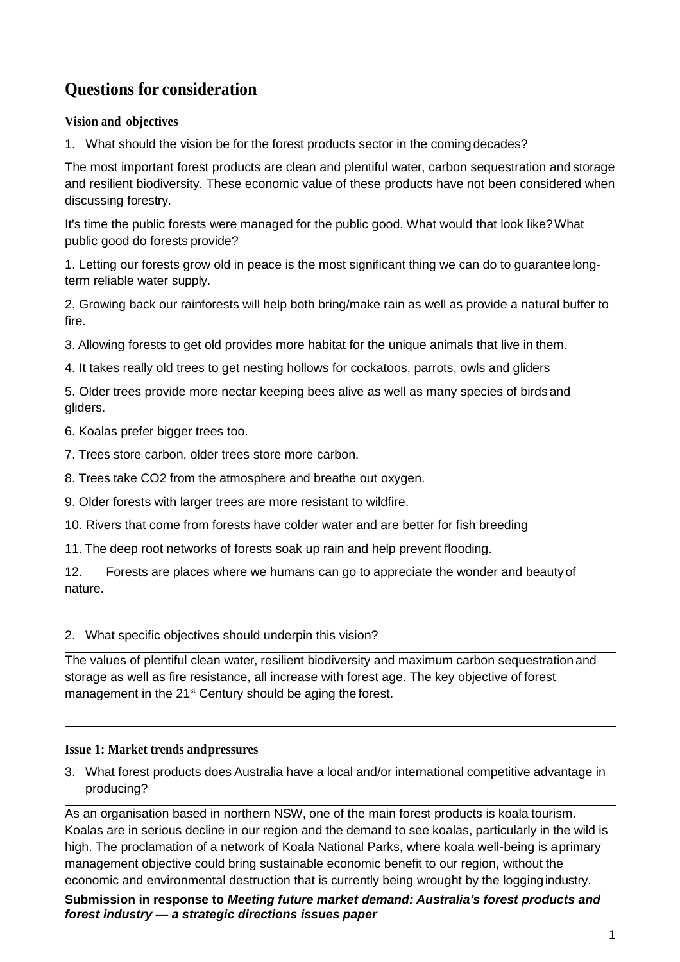# **Questions for consideration**

## **Vision and objectives**

1. What should the vision be for the forest products sector in the coming decades?

The most important forest products are clean and plentiful water, carbon sequestration and storage and resilient biodiversity. These economic value of these products have not been considered when discussing forestry.

It's time the public forests were managed for the public good. What would that look like?What public good do forests provide?

1. Letting our forests grow old in peace is the most significant thing we can do to guaranteelongterm reliable water supply.

2. Growing back our rainforests will help both bring/make rain as well as provide a natural buffer to fire.

3. Allowing forests to get old provides more habitat for the unique animals that live in them.

4. It takes really old trees to get nesting hollows for cockatoos, parrots, owls and gliders

5. Older trees provide more nectar keeping bees alive as well as many species of birdsand gliders.

6. Koalas prefer bigger trees too.

- 7. Trees store carbon, older trees store more carbon.
- 8. Trees take CO2 from the atmosphere and breathe out oxygen.

9. Older forests with larger trees are more resistant to wildfire.

10. Rivers that come from forests have colder water and are better for fish breeding

11. The deep root networks of forests soak up rain and help prevent flooding.

12. Forests are places where we humans can go to appreciate the wonder and beautyof nature.

## 2. What specific objectives should underpin this vision?

The values of plentiful clean water, resilient biodiversity and maximum carbon sequestration and storage as well as fire resistance, all increase with forest age. The key objective of forest management in the 21<sup>st</sup> Century should be aging the forest.

## **Issue 1: Market trends andpressures**

3. What forest products does Australia have a local and/or international competitive advantage in producing?

As an organisation based in northern NSW, one of the main forest products is koala tourism. Koalas are in serious decline in our region and the demand to see koalas, particularly in the wild is high. The proclamation of a network of Koala National Parks, where koala well-being is aprimary management objective could bring sustainable economic benefit to our region, without the economic and environmental destruction that is currently being wrought by the loggingindustry.

**Submission in response to** *Meeting future market demand: Australia's forest products and forest industry — a strategic directions issues paper*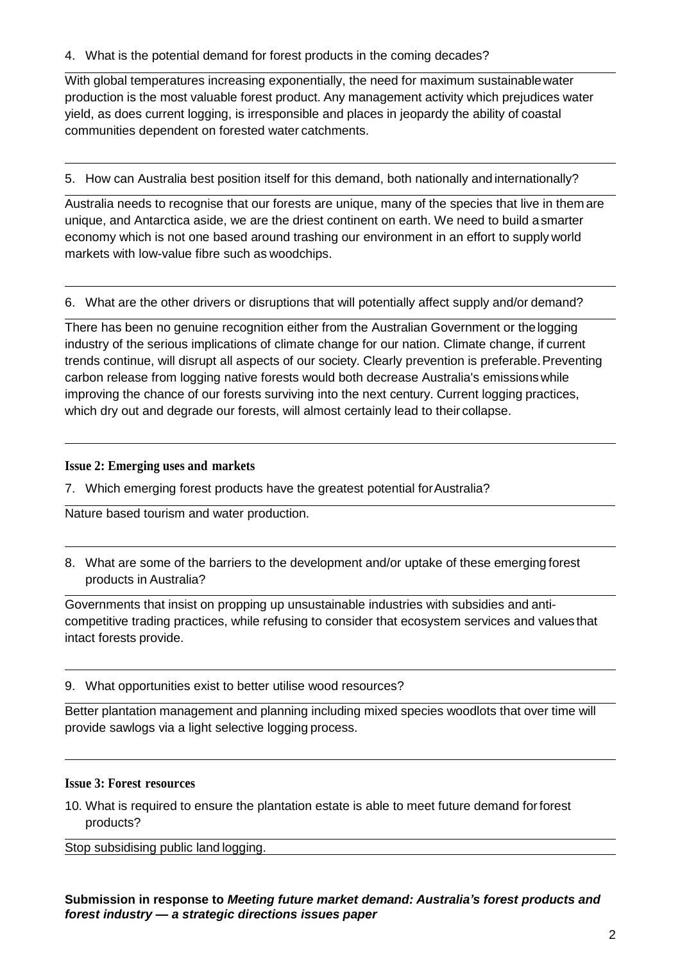4. What is the potential demand for forest products in the coming decades?

With global temperatures increasing exponentially, the need for maximum sustainablewater production is the most valuable forest product. Any management activity which prejudices water yield, as does current logging, is irresponsible and places in jeopardy the ability of coastal communities dependent on forested water catchments.

5. How can Australia best position itself for this demand, both nationally and internationally?

Australia needs to recognise that our forests are unique, many of the species that live in them are unique, and Antarctica aside, we are the driest continent on earth. We need to build asmarter economy which is not one based around trashing our environment in an effort to supply world markets with low-value fibre such as woodchips.

6. What are the other drivers or disruptions that will potentially affect supply and/or demand?

There has been no genuine recognition either from the Australian Government or thelogging industry of the serious implications of climate change for our nation. Climate change, if current trends continue, will disrupt all aspects of our society. Clearly prevention is preferable. Preventing carbon release from logging native forests would both decrease Australia's emissionswhile improving the chance of our forests surviving into the next century. Current logging practices, which dry out and degrade our forests, will almost certainly lead to their collapse.

## **Issue 2: Emerging uses and markets**

7. Which emerging forest products have the greatest potential forAustralia?

Nature based tourism and water production.

8. What are some of the barriers to the development and/or uptake of these emerging forest products in Australia?

Governments that insist on propping up unsustainable industries with subsidies and anticompetitive trading practices, while refusing to consider that ecosystem services and values that intact forests provide.

9. What opportunities exist to better utilise wood resources?

Better plantation management and planning including mixed species woodlots that over time will provide sawlogs via a light selective logging process.

## **Issue 3: Forest resources**

10. What is required to ensure the plantation estate is able to meet future demand forforest products?

Stop subsidising public land logging.

**Submission in response to** *Meeting future market demand: Australia's forest products and forest industry — a strategic directions issues paper*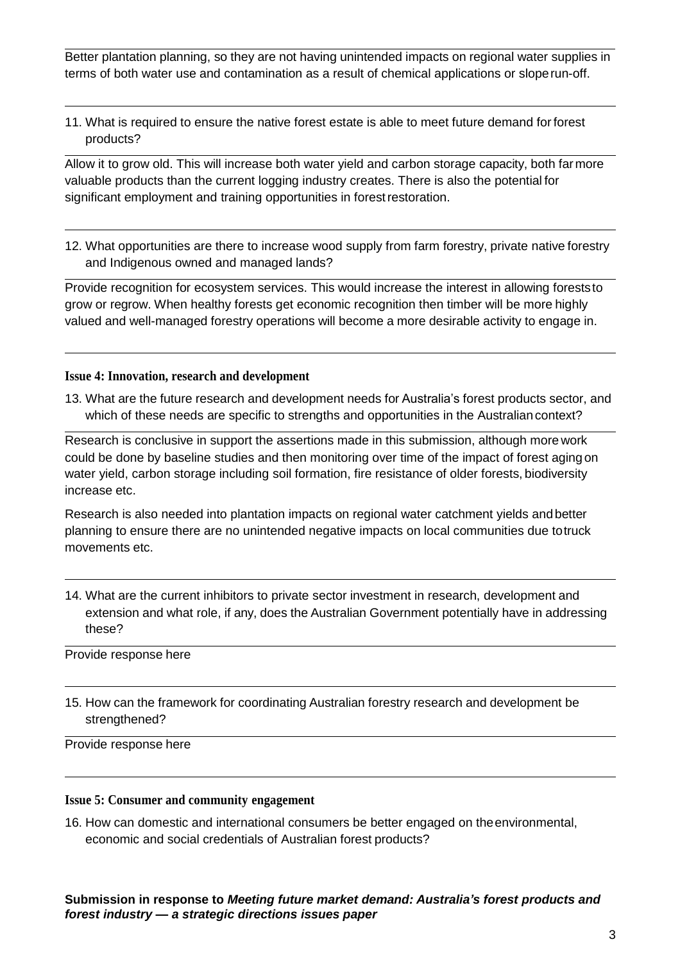Better plantation planning, so they are not having unintended impacts on regional water supplies in terms of both water use and contamination as a result of chemical applications or sloperun-off.

11. What is required to ensure the native forest estate is able to meet future demand for forest products?

Allow it to grow old. This will increase both water yield and carbon storage capacity, both farmore valuable products than the current logging industry creates. There is also the potential for significant employment and training opportunities in forest restoration.

12. What opportunities are there to increase wood supply from farm forestry, private native forestry and Indigenous owned and managed lands?

Provide recognition for ecosystem services. This would increase the interest in allowing foreststo grow or regrow. When healthy forests get economic recognition then timber will be more highly valued and well-managed forestry operations will become a more desirable activity to engage in.

#### **Issue 4: Innovation, research and development**

13. What are the future research and development needs for Australia's forest products sector, and which of these needs are specific to strengths and opportunities in the Australian context?

Research is conclusive in support the assertions made in this submission, although more work could be done by baseline studies and then monitoring over time of the impact of forest aging on water yield, carbon storage including soil formation, fire resistance of older forests, biodiversity increase etc.

Research is also needed into plantation impacts on regional water catchment yields andbetter planning to ensure there are no unintended negative impacts on local communities due totruck movements etc.

14. What are the current inhibitors to private sector investment in research, development and extension and what role, if any, does the Australian Government potentially have in addressing these?

Provide response here

15. How can the framework for coordinating Australian forestry research and development be strengthened?

Provide response here

#### **Issue 5: Consumer and community engagement**

16. How can domestic and international consumers be better engaged on theenvironmental, economic and social credentials of Australian forest products?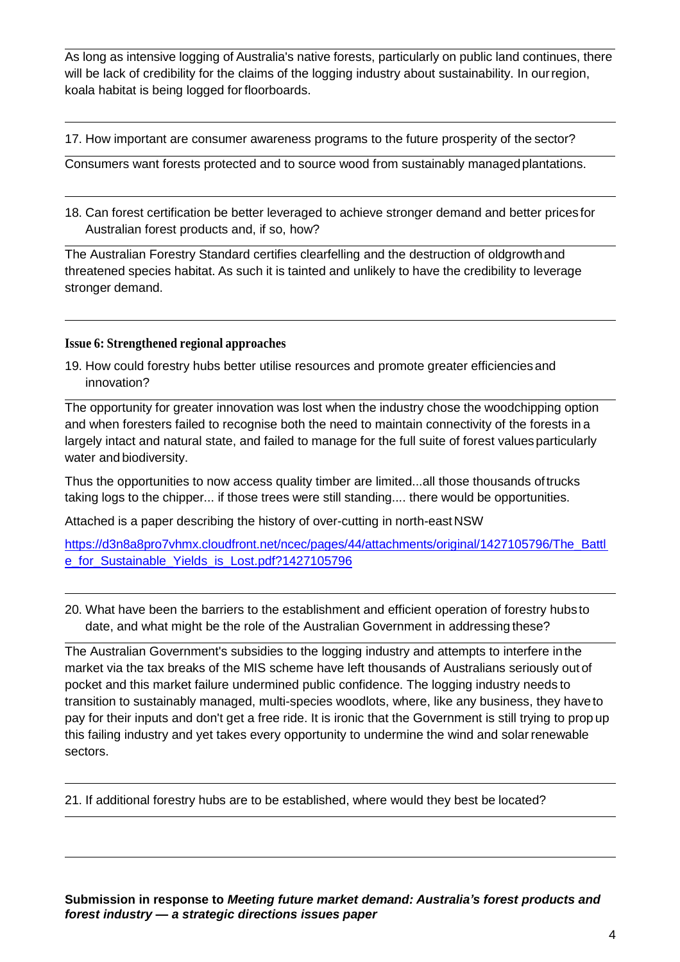As long as intensive logging of Australia's native forests, particularly on public land continues, there will be lack of credibility for the claims of the logging industry about sustainability. In ourregion, koala habitat is being logged for floorboards.

17. How important are consumer awareness programs to the future prosperity of the sector?

Consumers want forests protected and to source wood from sustainably managedplantations.

18. Can forest certification be better leveraged to achieve stronger demand and better prices for Australian forest products and, if so, how?

The Australian Forestry Standard certifies clearfelling and the destruction of oldgrowthand threatened species habitat. As such it is tainted and unlikely to have the credibility to leverage stronger demand.

#### **Issue 6: Strengthened regional approaches**

19. How could forestry hubs better utilise resources and promote greater efficienciesand innovation?

The opportunity for greater innovation was lost when the industry chose the woodchipping option and when foresters failed to recognise both the need to maintain connectivity of the forests in a largely intact and natural state, and failed to manage for the full suite of forest values particularly water and biodiversity.

Thus the opportunities to now access quality timber are limited...all those thousands oftrucks taking logs to the chipper... if those trees were still standing.... there would be opportunities.

Attached is a paper describing the history of over-cutting in north-east NSW

[https://d3n8a8pro7vhmx.cloudfront.net/ncec/pages/44/attachments/original/1427105796/The\\_Battl](https://d3n8a8pro7vhmx.cloudfront.net/ncec/pages/44/attachments/original/1427105796/The_Battle_for_Sustainable_Yields_is_Lost.pdf?1427105796) e for Sustainable Yields is Lost.pdf?1427105796

20. What have been the barriers to the establishment and efficient operation of forestry hubs to date, and what might be the role of the Australian Government in addressing these?

The Australian Government's subsidies to the logging industry and attempts to interfere inthe market via the tax breaks of the MIS scheme have left thousands of Australians seriously out of pocket and this market failure undermined public confidence. The logging industry needs to transition to sustainably managed, multi-species woodlots, where, like any business, they haveto pay for their inputs and don't get a free ride. It is ironic that the Government is still trying to prop up this failing industry and yet takes every opportunity to undermine the wind and solarrenewable sectors.

21. If additional forestry hubs are to be established, where would they best be located?